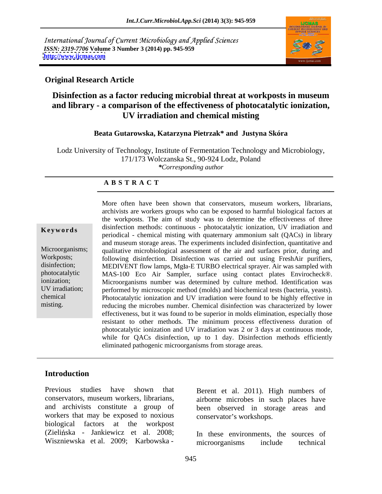International Journal of Current Microbiology and Applied Sciences *ISSN: 2319-7706* **Volume 3 Number 3 (2014) pp. 945-959 <http://www.ijcmas.com>**



# **Original Research Article**

# **Disinfection as a factor reducing microbial threat at workposts in museum and library - a comparison of the effectiveness of photocatalytic ionization, UV irradiation and chemical misting**

## **Beata Gutarowska, Katarzyna Pietrzak\* and Justyna Skóra**

Lodz University of Technology, Institute of Fermentation Technology and Microbiology, 171/173 Wolczanska St., 90-924 Lodz, Poland *\*Corresponding author* 

### **A B S T R A C T**

**Keywords** disinfection methods: continuous - photocatalytic ionization, UV irradiation and Microorganisms; qualitative microbiological assessment of the air and surfaces prior, during and Workposts; following disinfection. Disinfection was carried out using FreshAir purifiers, disinfection; MEDIVENT flow lamps, Mgła-E TURBO electrical sprayer. Air was sampled with photocatalytic MAS-100 Eco Air Sampler, surface using contact plates Envirocheck®. ionization; Microorganisms number was determined by culture method. Identification was UV irradiation; performed by microscopic method (molds) and biochemical tests (bacteria, yeasts). chemical Photocatalytic ionization and UV irradiation were found to be highly effective in More often have been shown that conservators, museum workers, librarians,<br>archivists are workers groups who can be exposed to harmful biological factors at<br>the workposts. The aim of study was to determine the effectiveness the workposts. The aim of study was to determine the effectiveness of three periodical - chemical misting with quaternary ammonium salt (QACs) in library and museum storage areas. The experiments included disinfection, quantitative and reducing the microbes number. Chemical disinfection was characterized by lower effectiveness, but it was found to be superior in molds elimination, especially those resistant to other methods. The minimum process effectiveness duration of photocatalytic ionization and UV irradiation was 2 or 3 days at continuous mode, while for QACs disinfection, up to 1 day. Disinfection methods efficiently eliminated pathogenic microorganisms from storage areas.

# **Introduction**

Previous studies have shown that Berent et al. 2011). High numbers of workers that may be exposed to noxious biological factors at the workpost (Zielińska - Jankiewicz et al. 2008;<br>Wiszniewska et al. 2009; Karbowska -Previous studies have shown that<br>
conservators, museum workers, librarians,<br>
and archivists constitute a group of<br>
workers that may be exposed to noxious<br>
biological factors at the workpost<br>
(Zielińska - Jankiewicz et al.

conservators, museum workers, librarians, airborne microbes in such places have and archivists constitute a group of been observed in storage areas and conservator's workshops.

> In these environments, the sources of microorganisms include technical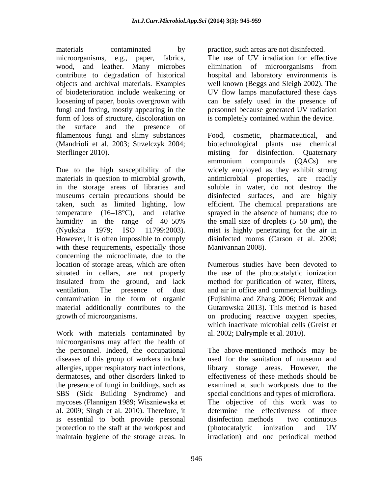materials contaminated by practice, such areas are not disinfected. microorganisms, e.g., paper, fabrics, The use of UV irradiation for effective wood, and leather. Many microbes elimination of microorganisms from contribute to degradation of historical hospital and laboratory environments is objects and archival materials. Examples well known (Beggs and Sleigh 2002). The of biodeterioration include weakening or UV flow lamps manufactured these days loosening of paper, books overgrown with can be safely used in the presence of fungi and foxing, mostly appearing in the personnel because generated UV radiation form of loss of structure, discoloration on is completely contained within the device. the surface and the presence of filamentous fungi and slimy substances (Mandrioli et al. 2003; Strzelczyk 2004; Sterflinger 2010). The missing for disinfection. Outernary

Due to the high susceptibility of the widely employed as they exhibit strong materials in question to microbial growth, antimicrobial properties, are readily in the storage areas of libraries and soluble in water, do not destroy the museums certain precautions should be taken, such as limited lighting, low efficient. The chemical preparations are temperature (16 18°C), and relative sprayed in the absence of humans; due to humidity in the range of  $40-50\%$  the small size of droplets  $(5-50 \mu m)$ , the (Nyuksha 1979; ISO 11799:2003). mist is highly penetrating for the air in However, it is often impossible to comply with these requirements, especially those concerning the microclimate, due to the location of storage areas, which are often situated in cellars, are not properly the use of the photocatalytic ionization insulated from the ground, and lack method for purification of water, filters, ventilation. The presence of dust and air in office and commercial buildings contamination in the form of organic (Fujishima and Zhang 2006; Pietrzak and material additionally contributes to the growth of microorganisms. on producing reactive oxygen species,

Work with materials contaminated by microorganisms may affect the health of diseases of this group of workers include a used for the sanitation of museum and SBS (Sick Building Syndrome) and al. 2009; Singh et al. 2010). Therefore, it protection to the staff at the workpost and (photocatalytic ionization and UV maintain hygiene of the storage areas. In irradiation) and one periodical method

elimination of microorganisms from

cosmetic, pharmaceutical, and biotechnological plants use chemical misting for disinfection. Quaternary ammonium compounds (QACs) are antimicrobial properties, are readily disinfected surfaces, and are highly disinfected rooms (Carson et al. 2008; Manivannan 2008).

Numerous studies have been devoted to Gutarowska 2013). This method is based which inactivate microbial cells (Greist et al. 2002; Dalrymple et al. 2010).

the personnel. Indeed, the occupational The above-mentioned methods may be allergies, upper respiratory tract infections, library storage areas. However, the dermatoses, and other disorders linked to effectiveness of these methods should be the presence of fungi in buildings, such as examined at such workposts due to the mycoses (Flannigan 1989; Wiszniewska et The objective of this work was to is essential to both provide personal disinfection methods – two continuous used for the sanitation of museum and special conditions and types of microflora. determine the effectiveness of three (photocatalytic ionization and UV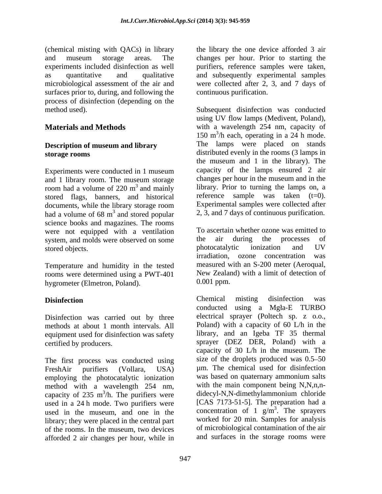surfaces prior to, during, and following the process of disinfection (depending on the

# **Description of museum and library**

Experiments were conducted in 1 museum and 1 library room. The museum storage room had a volume of  $220 \text{ m}^3$  and mainly stored flags, banners, and historical had a volume of  $68 \text{ m}^3$  and stored popular science books and magazines. The rooms were not equipped with a ventilation To ascertain whether ozone was emitted to system and molds were observed on some the air during the processes of system, and molds were observed on some the air during the processes of photocatalytic ionization and UV

Temperature and humidity in the tested rooms were determined using a PWT-401 New Zealar<br>hyprometer (Elmetron Poland) 0.001 ppm. hygrometer (Elmetron, Poland).

Disinfection was carried out by three methods at about 1 month intervals. All equipment used for disinfection was safety

The first process was conducted using employing the photocatalytic ionization method with a wavelength 254 nm, capacity of  $235 \text{ m}^3/\text{h}$ . The purifiers were used in a 24 h mode. Two purifiers were used in the museum, and one in the library; they were placed in the central part of the rooms. In the museum, two devices afforded 2 air changes per hour, while in

(chemical misting with QACs) in library the library the one device afforded 3 air and museum storage areas. The changes per hour. Prior to starting the experiments included disinfection as well purifiers, reference samples were taken, as quantitative and qualitative and subsequently experimental samples microbiological assessment of the air and were collected after 2, 3, and 7 days of continuous purification.

method used). Subsequent disinfection was conducted **Materials and Methods** with a wavelength 254 nm, capacity of **storage rooms** distributed evenly in the rooms (3 lamps in <sup>3</sup> and mainly library. Prior to turning the lamps on, a documents, while the library storage room Experimental samples were collected after <sup>3</sup> and stored popular 2, 3, and 7 days of continuous purification. using UV flow lamps (Medivent, Poland), 150 m 3 /h each, operating in a 24 h mode. The lamps were placed on stands the museum and 1 in the library). The capacity of the lamps ensured 2 air changes per hour in the museum and in the reference sample was taken  $(t=0)$ . Experimental samples were collected after

stored objects.<br>
stored objects.<br>
Stradiation ozone concentration was<br>
stradiation ozone concentration was To ascertain whether ozone was emitted to the air during the processes of photocatalytic ionization and UV irradiation, ozone concentration measured with an S-200 meter (Aeroqual, New Zealand) with a limit of detection of 0.001 ppm.

**Disinfection** was **Chemical** misting disinfection was certified by producers. sprayer (DEZ DER, Poland) with a FreshAir purifiers (Vollara, USA) um. The chemical used for disinfection 3 /h. The purifiers were didecyl-N,N-dimethylammonium chloride Chemical misting disinfection was conducted using a Mgla-E TURBO electrical sprayer (Poltech sp. z o.o., Poland) with a capacity of 60 L/h in the library, and an Igeba TF 35 thermal capacity of 30 L/h in the museum. The size of the droplets produced was  $0.5-50$ was based on quaternary ammonium salts with the main component being N,N,n,n-[CAS 7173-51-5]. The preparation had a concentration of 1  $g/m<sup>3</sup>$ . The sprayers  $3 \text{ The answer}$ . The sprayers worked for 20 min. Samples for analysis of microbiological contamination of the air and surfaces in the storage rooms were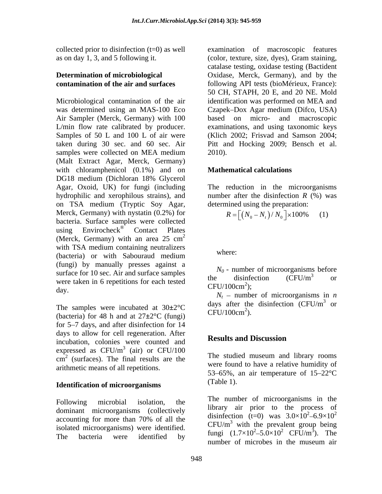Air Sampler (Merck, Germany) with 100 based on micro- and macroscopic Samples of 50 L and 100 L of air were (Malt Extract Agar, Merck, Germany) with chloramphenicol  $(0.1\%)$  and on DG18 medium (Dichloran 18% Glycerol Agar, Oxoid, UK) for fungi (including The reduction in the microorganisms hydrophilic and xerophilous strains), and on TSA medium (Tryptic Soy Agar, Merck, Germany) with nystatin (0.2%) for bacteria. Surface samples were collected using  $Envirocheck^{\circledast}$  Contact Plates Contact Plates (Merck, Germany) with an area  $25 \text{ cm}^2$  $2\overline{ }$ with TSA medium containing neutralizers<br>where: (bacteria) or with Sabouraud medium (fungi) by manually presses against a surface for 10 sec. Air and surface samples<br>the disinfection  $(CFU/m^3)$  or were taken in 6 repetitions for each tested<br>  $CFU/100 \text{cm}^2$ :

The samples were incubated at  $30\pm2^{\circ}\text{C}$  days are the detection of the day of the state of the detection of the detection of the detection of the detection of the detection of the detection of the detection of the de (bacteria) for 48 h and at 27**±**2°C (fungi) for 5–7 days, and after disinfection for 14 days to allow for cell regeneration. After<br> **Results and Discussion** incubation, colonies were counted and expressed as  $CFU/m^3$  (air) or  $CFU/100$  $\frac{3}{2}$  (eight) or CEU/100  $\frac{\text{(air)}}{\text{C}}$  or CFU/100  $\text{cm}^2$  (surfaces). The final results are the  $\frac{1}{2}$  in the summation and intervention of the state of the state of the state of the state of the state of the state of the state of the state of the state of the state arithmetic means of all repetitions.

# **Identification of microorganisms**

dominant microorganisms (collectively isolated microorganisms) were identified.

collected prior to disinfection (t=0) as well examination of macroscopic features as on day 1, 3, and 5 following it. (color, texture, size, dyes), Gram staining, **Determination of microbiological**  Oxidase, Merck, Germany), and by the **contamination of the air and surfaces** following API tests (bioMérieux, France): Microbiological contamination of the air identification was performed on MEA and was determined using an MAS-100 Eco Czapek–Dox Agar medium (Difco, USA) L/min flow rate calibrated by producer. examinations, and using taxonomic keys taken during 30 sec. and 60 sec. Air Pitt and Hocking 2009; Bensch et al. samples were collected on MEA medium 2010). catalase testing, oxidase testing (Bactident 50 CH, STAPH, 20 E, and 20 NE. Mold based on micro- and macroscopic (Klich 2002; Frisvad and Samson 2004; 2010).

# **Mathematical calculations**

number after the disinfection  $R$  (%) was determined using the preparation:

$$
R = \left[ \left( N_0 - N_t \right) / N_0 \right] \times 100\% \qquad (1)
$$

where: where  $\sim$ 

 $N_0$  - number of microorganisms before the disinfection  $(CFU/m^3$  or or  $CFU/100cm^2$ ; );

day.  $N_t$  - number of microorganisms in *n* days after the disinfection  $(CFU/m^3$  or or  $CFU/100cm<sup>2</sup>$ ). ).

# **Results and Discussion**

 $^{2}$  (surfaces). The final results are the The studied museum and library rooms were found to have a relative humidity of 53–65%, an air temperature of  $15-22$ °C (Table 1).

Following microbial isolation, the  $\frac{1}{11}$  number of incroorganisms in the accounting for more than 70% of all the  $\frac{\text{u} \cdot \text{u}}{\text{GFL} \cdot \text{K}^3}$  is the distribution of  $\frac{1}{2}$ The bacteria were identified by  $\frac{100 \text{ g}}{100 \text{ g}} = 1.7 \times 10^{-3} \text{ J} \times 10^{-1} \text{ C} \text{F}^{\text{U/III}}$ . The number of microorganisms in the library air prior to the process of disinfection (t=0) was  $3.0 \times 10^2 - 6.9 \times 10^2$ 2  $6.0 \times 10^2$ 6.9 $\times$ 10<sup>2</sup>  $CFU/m<sup>3</sup>$  with the prevalent group being fungi  $(1.7 \times 10^2 - 5.0 \times 10^2 \text{ CFU/m}^3)$ . The  $5.0 \times 10^2$  CFU/m<sup>3</sup>). The ). The number of microbes in the museum air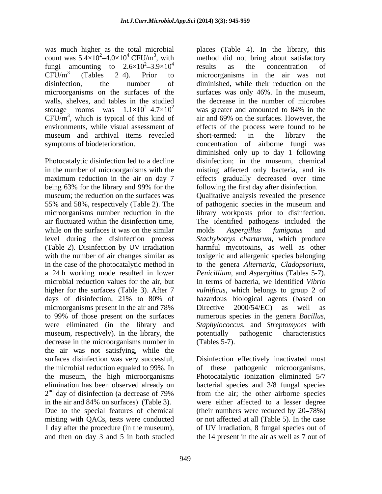was much higher as the total microbial places (Table 4). In the library, this fungi amounting to  $2.6 \times 10^2 - 3.9 \times 10^4$  results as the concentration of microorganisms on the surfaces of the surfaces was only 46%. In the museum, walls, shelves, and tables in the studied the decrease in the number of microbes  $CFU/m<sup>3</sup>$ , which is typical of this kind of

Photocatalytic disinfection led to a decline while on the surfaces it was on the similar molds Aspergillus fumigatus and level during the disinfection process higher for the surfaces (Table 3). After 7 microorganisms present in the air and 78% Directive 2000/54/EC) as well as museum, respectively). In the library, the potentially pathogenic characteristics decrease in the microorganisms number in (Tables 5-7). the air was not satisfying, while the surfaces disinfection was very successful, Disinfection effectively inactivated most the microbial reduction equaled to 99%. In of these pathogenic microorganisms. the museum, the high microorganisms Photocatalytic ionization eliminated 5/7 elimination has been observed already on bacterial species and 3/8 fungal species  $2<sup>nd</sup>$  day of disinfection (a decrease of 79%)<br>in the air and 84% on surfaces) (Table 3). in the air and 84% on surfaces) (Table 3). were either affected to a lesser degree Due to the special features of chemical (their numbers were reduced by 20–78%) misting with QACs, tests were conducted or not affected at all (Table 5). In the case 1 day after the procedure (in the museum), of UV irradiation, 8 fungal species out of and then on day 3 and 5 in both studied the 14 present in the air as well as 7 out of

count was  $5.4 \times 10^2 - 4.0 \times 10^4$  CFU/m<sup>3</sup>, with method did not bring about satisfactory  $\frac{2}{2}$  2.0 $\times$ 10<sup>4</sup> results as the concentration of  $3.9\times10^4$  results as the concentration of  $CFU/m<sup>3</sup>$  (Tables 2–4). Prior to microorganisms in the air was not disinfection, the number of diminished, while their reduction on the storage rooms was  $1.1 \times 10^2 - 4.7 \times 10^2$  was greater and amounted to 84% in the air and 69% on the surfaces. However, the environments, while visual assessment of effects of the process were found to be museum and archival items revealed symptoms of biodeterioration. concentration of airborne fungi was in the number of microorganisms with the misting affected only bacteria, and its maximum reduction in the air on day 7 effects gradually decreased over time being 63% for the library and 99% for the following the first day after disinfection. museum; the reduction on the surfaces was Qualitative analysis revealed the presence 55% and 58%, respectively (Table 2). The of pathogenic species in the museum and microorganisms number reduction in the library workposts prior to disinfection. air fluctuated within the disinfection time, The identified pathogens included the (Table 2). Disinfection by UV irradiation harmful mycotoxins, as well as other with the number of air changes similar as toxigenic and allergenic species belonging in the case of the photocatalytic method in to the genera *Alternaria*, *Cladopsorium*, a 24 h working mode resulted in lower *Penicillium*, and *Aspergillus* (Tables 5-7). microbial reduction values for the air, but In terms of bacteria, we identified *Vibrio*  days of disinfection, 21% to 80% of to 99% of those present on the surfaces numerous species in the genera *Bacillus*, were eliminated (in the library and *Staphylococcus*, and *Streptomyces* with results as the concentration of surfaces was only 46%. In the museum,<br>the decrease in the number of microbes was greater and amounted to 84% in the air and 69% on the surfaces. However, the short-termed: in the library the diminished only up to day 1 following disinfection; in the museum, chemical following the first day after disinfection. molds *Aspergillus fumigatus* and *Stachybotrys chartarum*, which produce *vulnificus*, which belongs to group 2 of hazardous biological agents (based on Directive 2000/54/EC) as well as potentially pathogenic characteristics (Tables 5-7).

<sup>nd</sup> day of disinfection (a decrease of 79% from the air; the other airborne species from the air; the other airborne species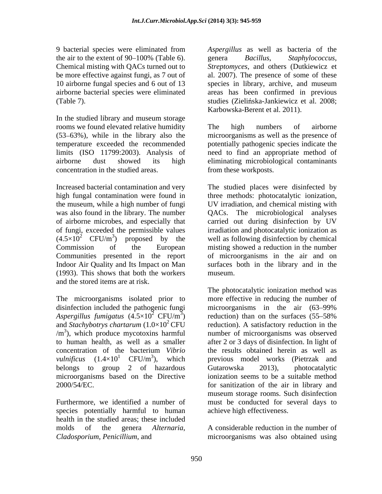10 airborne fungal species and 6 out of 13 species in library, archive, and museum

In the studied library and museum storage rooms we found elevated relative humidity The high numbers of airborne (53 63%), while in the library also the microorganisms as well as the presence of temperature exceeded the recommended potentially pathogenic species indicate the limits (ISO 11799:2003). Analysis of need to find an appropriate method of airborne dust showed its high eliminating microbiological contaminants concentration in the studied areas.

the museum, while a high number of fungi  $(4.5\times10^2 \text{ CFU/m}^3)$  proposed by the (1993). This shows that both the workers and the stored items are at risk.

disinfection included the pathogenic fungi<br>Aspergillus fumigatus  $(4.5\times10^{2} \text{ CFU/m}^{3})$  $/m<sup>3</sup>$ ), which produce mycotoxins harmful belongs to group 2 of hazardous Gutarowska 2013), photocatalytic

species potentially harmful to human health in the studied areas; these included molds of the genera *Alternaria*, A considerable reduction in the number of

9 bacterial species were eliminated from *Aspergillus* as well as bacteria of the the air to the extent of 90–100% (Table 6). genera Bacillus, Staphylococcus, Chemical misting with QACs turned out to *Streptomyces*, and others (Dutkiewicz et be more effective against fungi, as 7 out of al. 2007). The presence of some of these airborne bacterial species were eliminated areas has been confirmed in previous (Table 7). (Table 7). genera *Bacillus*, *Staphylococcus*, species in library, archive, and museum Karbowska-Berent et al. 2011).

> The high numbers of airborne from these workposts.

Increased bacterial contamination and very The studied places were disinfected by high fungal contamination were found in three methods: photocatalytic ionization, was also found in the library. The number QACs. The microbiological analyses of airborne microbes, and especially that carried out during disinfection by UV of fungi, exceeded the permissible values irradiation and photocatalytic ionization as ) proposed by the well as following disinfection by chemical Commission of the European misting showed a reduction in the number Communities presented in the report of microorganisms in the air and on Indoor Air Quality and Its Impact on Man surfaces both in the library and in the UV irradiation, and chemical misting with museum.

The microorganisms isolated prior to more effective in reducing the number of Aspergillus fumigatus  $(4.5\times10^2 \text{ CFU/m}^3)$  reduction) than on the surfaces (55–58%) and *Stachybotrys chartarum*  $(1.0 \times 10^2 \text{ CFU}$  reduction). A satisfactory reduction in the ), which produce mycotoxins harmful number of microorganisms was observed to human health, as well as a smaller after 2 or 3 days of disinfection. In light of concentration of the bacterium *Vibrio*  the results obtained herein as well as *vulnificus*  $(1.4 \times 10^1 \text{ CFU/m}^3)$ , which previous model works (Pietrzak and microorganisms based on the Directive ionization seems to be a suitable method 2000/54/EC. for sanitization of the air in library and Furthermore, we identified a number of must be conducted for several days to The photocatalytic ionization method was microorganisms in the air  $(63-99\%$ Gutarowska 2013), photocatalytic museum storage rooms. Such disinfection achieve high effectiveness.

*Cladosporium*, *Penicillium*, and microorganisms was also obtained using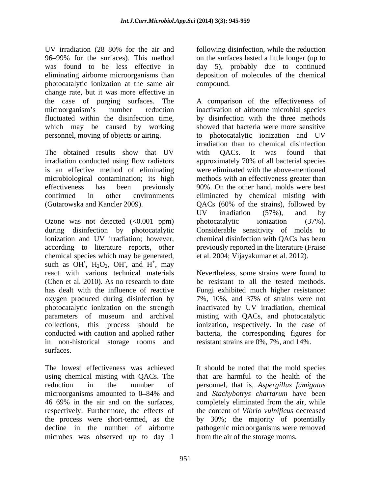UV irradiation (28–80% for the air and following disinfection, while the reduction 96 99% for the surfaces). This method on the surfaces lasted a little longer (up to was found to be less effective in day 5), probably due to continued eliminating airborne microorganisms than deposition of molecules of the chemical photocatalytic ionization at the same air change rate, but it was more effective in the case of purging surfaces. The which may be caused by working personnel, moving of objects or airing.

irradiation conducted using flow radiators approximately 70% of all bacterial species is an effective method of eliminating

Ozone was not detected  $(<0.001$  ppm) photocatalytic ionization  $(37%)$ . chemical species which may be generated, such as  $OH$ ,  $H_2O_2$ ,  $OH$ , and  $H^+$ , may , and  $H^+$ , may  $+\cos\theta$ , may react with various technical materials Nevertheless, some strains were found to (Chen et al. 2010). As no research to date be resistant to all the tested methods. has dealt with the influence of reactive Fungi exhibited much higher resistance: oxygen produced during disinfection by 7%, 10%, and 37% of strains were not photocatalytic ionization on the strength inactivated by UV irradiation, chemical parameters of museum and archival misting with QACs, and photocatalytic collections, this process should be ionization, respectively. In the case of conducted with caution and applied rather bacteria, the corresponding figures for in non-historical storage rooms and surfaces.

46–69% in the air and on the surfaces, completely eliminated from the air, while respectively. Furthermore, the effects of microbes was observed up to day 1

following disinfection, while the reduction compound.

microorganism's number reduction inactivation of airborne microbial species fluctuated within the disinfection time, by disinfection with the three methods The obtained results show that UV with QACs. It was found that microbiological contamination; its high methods with an effectiveness greater than effectiveness has been previously 90%. On the other hand, molds were best confirmed in other environments eliminated by chemical misting with (Gutarowska and Kancler 2009). QACs (60% of the strains), followed by during disinfection by photocatalytic Considerable sensitivity of molds to ionization and UV irradiation; however, chemical disinfection with QACs has been according to literature reports, other previously reported in the literature (Fraise A comparison of the effectiveness of showed that bacteria were more sensitive to photocatalytic ionization and UV irradiation than to chemical disinfection with QACs. It was found that approximately 70% of all bacterial species were eliminated with the above-mentioned UV irradiation (57%), and by photocatalytic ionization (37%). et al. 2004; Vijayakumar et al. 2012).

> 7%, 10%, and 37% of strains were not resistant strains are 0%, 7%, and 14%.

The lowest effectiveness was achieved It should be noted that the mold species using chemical misting with QACs. The that are harmful to the health of the reduction in the number of personnel, that is, *Aspergillus fumigatus* microorganisms amounted to 0–84% and and Stachybotrys chartarum have been the process were short-termed, as the by 30%; the majority of potentially decline in the number of airborne pathogenic microorganisms were removed and *Stachybotrys chartarum* have been completely eliminated from the air, while the content of *Vibrio vulnificus* decreased from the air of the storage rooms.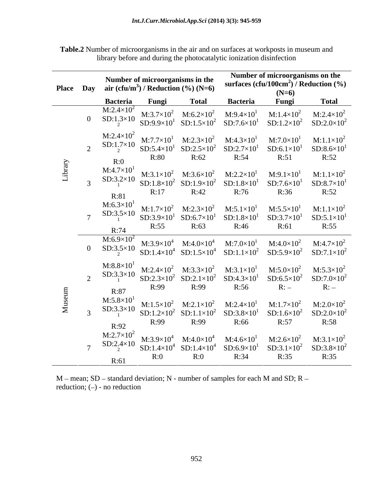|        | <b>Place Day</b> | Number of microorganisms in the<br>air (cfu/m <sup>3</sup> ) / Reduction (%) (N=6) |                                                                             |                                             | Number of microorganisms on the<br>surfaces $(cfu/100cm2)$ / Reduction $(\% )$<br>$(N=6)$                                             |                                                                                                                                 |                                                     |  |
|--------|------------------|------------------------------------------------------------------------------------|-----------------------------------------------------------------------------|---------------------------------------------|---------------------------------------------------------------------------------------------------------------------------------------|---------------------------------------------------------------------------------------------------------------------------------|-----------------------------------------------------|--|
|        |                  | <b>Bacteria</b>                                                                    | Fungi                                                                       | <b>Total</b>                                | <b>Bacteria</b>                                                                                                                       | Fungi                                                                                                                           | <b>Total</b>                                        |  |
|        | $\mathbf{0}$     | $M:2.4\times10^2$<br>$SD: 1.3 \times 10$                                           |                                                                             | $M:3.7\times10^2$ $M:6.2\times10^2$         | $M:9.4\times10^{1}$                                                                                                                   | $M:1.4\times10^{2}$<br>$SD:9.9\times10^{1}$ $SD:1.5\times10^{2}$ $SD:7.6\times10^{1}$ $SD:1.2\times10^{2}$ $SD:2.0\times10^{2}$ | $M:2.4\times10^2$                                   |  |
|        | $\bigcap$        | $M:2.4\times10^2$<br>$SD:1.7\times10$<br>R:0                                       | $SD:5.4\times10^{1}$<br>R:80                                                | R:62                                        | $M:7.7\times10^{1}$ $M:2.3\times10^{2}$ $M:4.3\times10^{1}$<br>$SD:2.5\times10^2$ $SD:2.7\times10^1$<br>R:54                          | $M:7.0\times10^{1}$<br>$SD:6.1\times101$<br>R:51                                                                                | $M:1.1\times10^{2}$<br>$SD:8.6\times10^{1}$<br>R:52 |  |
| ibrary |                  | $M:4.7\times10^{1}$<br>$SD:3.2\times10$<br>R:81                                    | R:17                                                                        | $M:3.1\times10^2$ $M:3.6\times10^2$<br>R:42 | $M:2.2\times10^{1}$<br>$SD:1.8\times10^2$ $SD:1.9\times10^2$ $SD:1.8\times10^1$<br>R:76                                               | $M:9.1\times10^{1}$<br>$SD:7.6\times10^{1}$<br>R:36                                                                             | $M:1.1\times10^2$<br>$SD:8.7\times101$<br>R:52      |  |
|        |                  | $M:6.3\times10^{1}$<br>$SD:3.5\times10$<br>R:74                                    | M:1.7×10 <sup>2</sup> M:2.3×10 <sup>2</sup><br>$SD:3.9\times10^{1}$<br>R:55 | $SD:6.7\times10^{1}$<br>R:63                | $M:5.1\times10^{1}$<br>$SD:1.8\times10^{1}$<br>R:46                                                                                   | $M:5.5\times10^{1}$<br>$SD:3.7\times10^{1}$<br>R:61                                                                             | $M:1.1\times10^2$<br>$SD:5.1\times10^{1}$<br>R:55   |  |
|        | $\overline{0}$   | $M:6.9\times10^{2}$<br>$SD:3.5\times10$                                            |                                                                             | $M:3.9\times10^4$ $M:4.0\times10^4$         | $\mathrm{M}{:}7.0{\times}10^{1}$                                                                                                      | $M:4.0\times10^2$<br>$SD:1.4\times10^4$ $SD:1.5\times10^4$ $SD:1.1\times10^2$ $SD:5.9\times10^2$                                | $M:4.7\times10^{2}$<br>$SD:7.1\times10^2$           |  |
|        | $\bigcap$        | $M:8.8\times10^{1}$<br>$SD:3.3\times10$<br>R:87                                    | R:99                                                                        | R:99                                        | M:2.4×10 <sup>2</sup> M:3.3×10 <sup>2</sup> M:3.1×10 <sup>1</sup><br>$SD:2.3\times10^2$ $SD:2.1\times10^2$ $SD:4.3\times10^1$<br>R:56 | $M:5.0\times10^{2}$<br>$SD:6.5\times10^2$<br>R:                                                                                 | $M:5.3\times10^{2}$<br>$SD:7.0\times10^2$<br>R:     |  |
|        |                  | $M:5.8\times10^{1}$<br>$SD:3.3\times10$<br>R:92                                    | $SD:1.2\times10^2$<br>R:99                                                  | $SD:1.1\times10^2$<br>R:99                  | M:1.5×10 <sup>2</sup> M:2.1×10 <sup>2</sup> M:2.4×10 <sup>1</sup><br>$SD:3.8\times10^{1}$<br>R:66                                     | $M:1.7\times10^2$<br>$SD:1.6\times10^2$<br>R:57                                                                                 | $M:2.0\times10^2$<br>$SD:2.0\times10^2$<br>R:58     |  |
|        |                  | $M:2.7\times10^2$<br>$SD:2.4\times10$<br>R:61                                      | $M:3.9\times10^4$<br>R:0                                                    | $M:4.0\times10^4$<br>R:0                    | $M:4.6\times10^{1}$<br>$SD:1.4\times10^4$ $SD:1.4\times10^4$ $SD:6.9\times10^1$<br>R:34                                               | $M:2.6\times10^2$<br>$SD:3.1\times10^2$<br>R:35                                                                                 | $M:3.1\times10^2$<br>$SD:3.8\times10^{2}$<br>R:35   |  |

**Table.2** Number of microorganisms in the air and on surfaces at workposts in museum and library before and during the photocatalytic ionization disinfection

 $M$  – mean; SD – standard deviation; N - number of samples for each M and SD; R – reduction;  $(-)$  - no reduction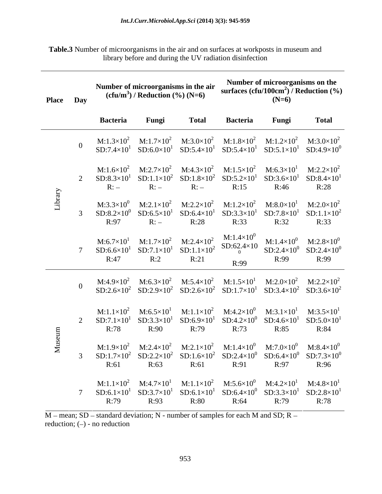**Table.3** Number of microorganisms in the air and on surfaces at workposts in museum and library before and during the UV radiation disinfection

| Place Day     |                                                                                                                                                     | $(cfu/m3)$ / Reduction $(\%)(N=6)$ | Number of microorganisms in the air                                                                                                                                                                                                                                              |                 | Number of microorganisms on the<br>$(N=6)$ | surfaces $(cfu/100cm2)$ / Reduction $(\%)$                                                                        |
|---------------|-----------------------------------------------------------------------------------------------------------------------------------------------------|------------------------------------|----------------------------------------------------------------------------------------------------------------------------------------------------------------------------------------------------------------------------------------------------------------------------------|-----------------|--------------------------------------------|-------------------------------------------------------------------------------------------------------------------|
|               | <b>Bacteria</b>                                                                                                                                     | Fungi                              | <b>Total</b>                                                                                                                                                                                                                                                                     | <b>Bacteria</b> | Fungi                                      | <b>Total</b>                                                                                                      |
|               |                                                                                                                                                     |                                    | M:1.3×10 <sup>2</sup> M:1.7×10 <sup>2</sup> M:3.0×10 <sup>2</sup> M:1.8×10 <sup>2</sup> M:1.2×10 <sup>2</sup> M:3.0×10 <sup>2</sup><br>$SD:7.4\times10^{1}$ $SD:6.0\times10^{1}$ $SD:5.4\times10^{1}$ $SD:5.4\times10^{1}$ $SD:5.1\times10^{1}$ $SD:4.9\times10^{0}$             |                 |                                            |                                                                                                                   |
|               | R:                                                                                                                                                  | $R:-$                              | M:1.6×10 <sup>2</sup> M:2.7×10 <sup>2</sup> M:4.3×10 <sup>2</sup> M:1.5×10 <sup>2</sup> M:6.3×10 <sup>1</sup> M:2.2×10 <sup>2</sup><br>$SD: 8.3 \times 10^1$ $SD: 1.1 \times 10^2$ $SD: 1.8 \times 10^2$ $SD: 5.2 \times 10^1$ $SD: 3.6 \times 10^1$ $SD: 8.4 \times 10^1$<br>R: | R:15            | R:46                                       | R:28                                                                                                              |
| $\frac{5}{4}$ | $M:3.3\times10^{0}$<br>R:97                                                                                                                         | R:                                 | M:2.1×10 <sup>2</sup> M:2.2×10 <sup>2</sup> M:1.2×10 <sup>2</sup> M:8.0×10 <sup>1</sup> M:2.0×10 <sup>2</sup><br>$SD:8.2\times10^{0}$ $SD:6.5\times10^{1}$ $SD:6.4\times10^{1}$ $SD:3.3\times10^{1}$ $SD:7.8\times10^{1}$ $SD:1.1\times10^{2}$<br>R:28                           | R:33            | R:32                                       | R:33                                                                                                              |
|               | $SD:6.6\times10^{1}$<br>R:47                                                                                                                        | R:2                                | M:6.7×10 <sup>1</sup> M:1.7×10 <sup>2</sup> M:2.4×10 <sup>2</sup> M:1.4×10 <sup>0</sup><br>$SD:7.1\times10^{1}$ $SD:1.1\times10^{2}$ $SD:62.4\times10$ $SD:2.4\times10^{0}$ $SD:2.4\times10^{0}$<br>R:21                                                                         | R:99            | R:99                                       | $M:1.4\times10^{0}$ $M:2.8\times10^{0}$<br>R:99                                                                   |
|               |                                                                                                                                                     |                                    | M:4.9×10 <sup>2</sup> M:6.3×10 <sup>2</sup> M:5.4×10 <sup>2</sup> M:1.5×10 <sup>1</sup> M:2.0×10 <sup>2</sup> M:2.2×10 <sup>2</sup>                                                                                                                                              |                 |                                            | $SD:2.6\times10^2$ $SD:2.9\times10^2$ $SD:2.6\times10^2$ $SD:1.7\times10^1$ $SD:3.4\times10^2$ $SD:3.6\times10^2$ |
|               | R:78                                                                                                                                                | R:90                               | M: $1.1 \times 10^2$ M: $6.5 \times 10^1$ M: $1.1 \times 10^2$ M: $4.2 \times 10^0$ M: $3.1 \times 10^1$ M: $3.5 \times 10^1$<br>$SD:7.1\times10^{1}$ $SD:3.3\times10^{1}$ $SD:6.9\times10^{1}$ $SD:4.2\times10^{0}$ $SD:4.6\times10^{1}$ $SD:5.0\times10^{1}$<br>R:79           | R:73            | R:85                                       | R:84                                                                                                              |
|               | $SD:1.7\times10^2$ $SD:2.2\times10^2$ $SD:1.6\times10^2$ $SD:2.4\times10^0$ $SD:6.4\times10^0$ $SD:7.3\times10^0$<br>R:61                           | R:63                               | M:1.9×10 <sup>2</sup> M:2.4×10 <sup>2</sup> M:2.1×10 <sup>2</sup> M:1.4×10 <sup>0</sup> M:7.0×10 <sup>0</sup> M:8.4×10 <sup>0</sup><br>R:61                                                                                                                                      | R:91            | R:97                                       | R:96                                                                                                              |
|               | 7 SD:6.1×10 <sup>1</sup> SD:3.7×10 <sup>1</sup> SD:6.1×10 <sup>1</sup> SD:6.4×10 <sup>0</sup> SD:3.3×10 <sup>1</sup> SD:2.8×10 <sup>1</sup><br>R:79 | R:93                               | M:1.1×10 <sup>2</sup> M:4.7×10 <sup>1</sup> M:1.1×10 <sup>2</sup> M:5.6×10 <sup>0</sup> M:4.2×10 <sup>1</sup> M:4.8×10 <sup>1</sup><br>R:80                                                                                                                                      | R:64            | R:79                                       | R:78                                                                                                              |

 $M$  – mean; SD – standard deviation; N - number of samples for each M and SD; R – reduction;  $(-)$  - no reduction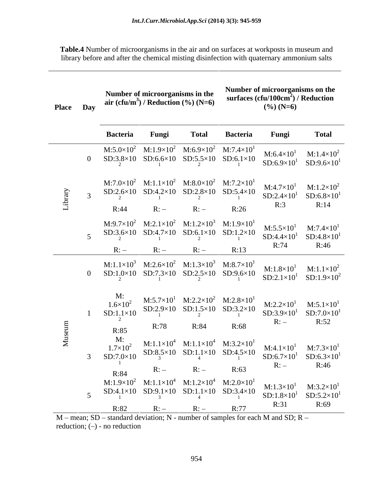**Table.4** Number of microorganisms in the air and on surfaces at workposts in museum and library before and after the chemical misting disinfection with quaternary ammonium salts

| <b>Place</b>        | Day            |                                                | Number of microorganisms in the<br>air $(cfu/m3)$ / Reduction $(\%)(N=6)$ |                                                                                                                                                                | Number of microorganisms on the<br>surfaces $(cfu/100cm2)$ / Reduction<br>$(\%)(N=6)$ |                                                                                                                                                                                                                                                                               |                                                                                                                                                                                                                                                                                                                   |  |
|---------------------|----------------|------------------------------------------------|---------------------------------------------------------------------------|----------------------------------------------------------------------------------------------------------------------------------------------------------------|---------------------------------------------------------------------------------------|-------------------------------------------------------------------------------------------------------------------------------------------------------------------------------------------------------------------------------------------------------------------------------|-------------------------------------------------------------------------------------------------------------------------------------------------------------------------------------------------------------------------------------------------------------------------------------------------------------------|--|
|                     |                | <b>Bacteria</b>                                | Fungi                                                                     | <b>Total</b>                                                                                                                                                   | <b>Bacteria</b>                                                                       | Fungi                                                                                                                                                                                                                                                                         | <b>Total</b>                                                                                                                                                                                                                                                                                                      |  |
|                     |                |                                                |                                                                           | M:5.0×10 <sup>2</sup> M:1.9×10 <sup>2</sup> M:6.9×10 <sup>2</sup> M:7.4×10 <sup>1</sup>                                                                        |                                                                                       | $M:6.4\times10^{1}$<br>$SD:3.8\times10$ $SD:6.6\times10$ $SD:5.5\times10$ $SD:6.1\times10$ $SD:6.9\times10^{1}$                                                                                                                                                               | $M:1.4\times10^{2}$<br>$SD:9.6\times10^{1}$                                                                                                                                                                                                                                                                       |  |
| Librar <sub>.</sub> |                |                                                |                                                                           | M:7.0×10 <sup>2</sup> M:1.1×10 <sup>2</sup> M:8.0×10 <sup>2</sup> M:7.2×10 <sup>1</sup><br>$SD:2.6\times10$ $SD:4.2\times10$ $SD:2.8\times10$ $SD:5.4\times10$ |                                                                                       | $M:4.7\times10^{1}$<br>$SD:2.4\times10^{1}$                                                                                                                                                                                                                                   | $M:1.2\times10^2$<br>$SD:6.8\times10^{1}$                                                                                                                                                                                                                                                                         |  |
|                     |                | R:44                                           |                                                                           | R:                                                                                                                                                             | R:26                                                                                  | R:3                                                                                                                                                                                                                                                                           | R:14                                                                                                                                                                                                                                                                                                              |  |
|                     |                |                                                |                                                                           |                                                                                                                                                                |                                                                                       | M:9.7×10 <sup>2</sup> M:2.1×10 <sup>2</sup> M:1.2×10 <sup>3</sup> M:1.9×10 <sup>1</sup> M:5.5×10 <sup>1</sup><br>SD:3.6×10 SD:4.7×10 SD:6.1×10 SD:1.2×10 SD:4.4×10 <sup>1</sup>                                                                                               | $M:7.4\times10^{1}$<br>$SD:4.8\times10^{1}$                                                                                                                                                                                                                                                                       |  |
|                     |                | R:                                             | R:                                                                        | R:                                                                                                                                                             | R:13                                                                                  | R:74                                                                                                                                                                                                                                                                          | R:46                                                                                                                                                                                                                                                                                                              |  |
|                     | $\overline{0}$ |                                                |                                                                           |                                                                                                                                                                |                                                                                       | $\substack{M:1.1\times10^3\quad\text{M}:2.6\times10^2\quad\text{M}:1.3\times10^3\quad\text{M}:8.7\times10^1\quad\text{M}:1.8\times10^1\quad\text{SD}:1.0\times10\quad\text{SD}:7.3\times10\quad\text{SD}:2.5\times10\quad\text{SD}:9.6\times10\quad\text{SD}:2.1\times10^1}}$ | M:1.8×10 <sup>1</sup> M:1.1×10 <sup>2</sup><br>$SD:1.9\times10^2$                                                                                                                                                                                                                                                 |  |
|                     |                | M:<br>$1.6 \times 10^{2}$<br>$SD:1.1\times10$  |                                                                           | M:5.7×10 <sup>1</sup> M:2.2×10 <sup>2</sup> M:2.8×10 <sup>1</sup><br>SD:2.9×10 SD:1.5×10 SD:3.2×10                                                             |                                                                                       | $M:2.2\times10^{1}$<br>$SD:3.9\times10^{1}$<br>R:                                                                                                                                                                                                                             | $M:5.1\times10^{1}$<br>$SD:7.0\times10^{1}$<br>R:52                                                                                                                                                                                                                                                               |  |
| eum                 |                | R:85                                           | R:78                                                                      | R:84                                                                                                                                                           | R:68                                                                                  |                                                                                                                                                                                                                                                                               |                                                                                                                                                                                                                                                                                                                   |  |
|                     |                | $M$ :<br>$1.7\times10^{2}$<br>$SD:7.0\times10$ |                                                                           |                                                                                                                                                                |                                                                                       |                                                                                                                                                                                                                                                                               | $\substack{M:1.1\times10^4\\ \text{SD}:8,5\times10\\ 3}} \quad \substack{M:1.1\times10^4\\ \text{SD}:1.1\times10^4\\ 4}} \quad \substack{M:3.2\times10^1\\ \text{SD}:4,5\times10^1\\ 5\times10^1\\ \text{SD}:6.7\times10^1} \quad \substack{M:7.3\times10^1\\ \text{SD}:6.3\times10^1\\ \text{SD}:6.3\times10^1}$ |  |
|                     |                | R:84                                           | R:                                                                        | R:                                                                                                                                                             | R:63                                                                                  | R:                                                                                                                                                                                                                                                                            | R:46                                                                                                                                                                                                                                                                                                              |  |
|                     |                | R:82                                           |                                                                           | $R:-$                                                                                                                                                          | R:77                                                                                  | M:1.9×10 <sup>2</sup> M:1.1×10 <sup>4</sup> M:1.2×10 <sup>4</sup> M:2.0×10 <sup>1</sup> M:1.3×10 <sup>1</sup><br>$SD:4.1\times10$ $SD:9.1\times10$ $SD:1.1\times10$ $SD:3.4\times10$ $SD:1.8\times10^{1}$<br>R:31                                                             | $M:3.2\times10^{1}$<br>$SD:5.2\times10^{1}$<br>R:69                                                                                                                                                                                                                                                               |  |

 $M$  – mean; SD – standard deviation; N - number of samples for each M and SD; R – reduction;  $(-)$  - no reduction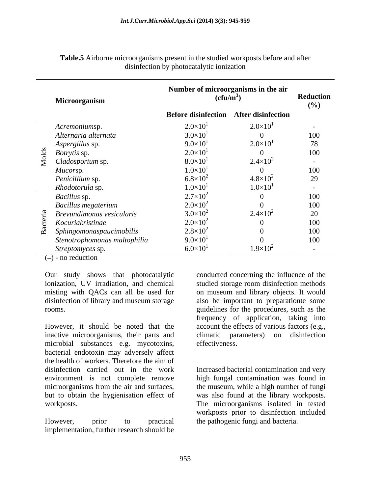| Microorganism                  | Number of microorganisms in the air<br>$(cfu/m^3)$ |                     | Reduction<br>(%) |
|--------------------------------|----------------------------------------------------|---------------------|------------------|
|                                | Before disinfection After disinfection             |                     |                  |
| Acremoniumsp.                  | $2.0 \times 10^{1}$                                | $2.0 \times 10^{1}$ |                  |
| Alternaria alternata           | $3.0\times10$                                      |                     | 100              |
| Aspergillus sp.<br>$\sim$      | $9.0\times10^{1}$                                  | $2.0 \times 10^{1}$ | 78               |
| ਚ<br><i>Botrytis</i> sp.       | $2.0 \times 10^{1}$                                |                     | 100              |
| $\sum$ <i>Cladosporium</i> sp. | $8.0\times10$                                      | $2.4 \times 10^{2}$ | $\sim$ $-$       |
| <i>Mucorsp.</i>                | $1.0\times10$                                      |                     | 100              |
| Penicillium sp.                | $6.8\times10^{2}$                                  | $4.8 \times 10^{2}$ | 29               |
| Rhodotorula sp.                | $1.0\times10$                                      | $1.0\times10^{1}$   |                  |
| Bacillus sp.                   | $2.7\times10^{2}$                                  |                     | 100              |
| Bacillus megaterium            | $2.0\times10^{2}$                                  |                     | 100              |
| Brevundimonas vesicularis      | $3.0 \times 10^{2}$                                | $2.4 \times 10^{2}$ | 20               |
| Kocuriakristinae               | $2.0 \times 10^{2}$                                |                     | 100              |
| m Sphingomonaspaucimobilis     | $2.8\times10^{2}$                                  |                     | 100              |
| Stenotrophomonas maltophilia   | $9.0 \times 10^{1}$                                |                     | 100              |
| Streptomyces sp.               | $6.0\times10^{1}$                                  | $1.9\times10^{2}$   |                  |

**Table.5** Airborne microorganisms present in the studied workposts before and after disinfection by photocatalytic ionization

 $(-)$  - no reduction

However, it should be noted that the account the effects of various factors (e.g., inactive microorganisms, their parts and microbial substances e.g. mycotoxins, bacterial endotoxin may adversely affect the health of workers. Therefore the aim of disinfection carried out in the work Increased bacterial contamination and very environment is not complete remove high fungal contamination was found in microorganisms from the air and surfaces, the museum, while a high number of fungi but to obtain the hygienisation effect of was also found at the library workposts.

implementation, further research should be

Our study shows that photocatalytic conducted concerning the influence of the ionization, UV irradiation, and chemical studied storage room disinfection methods misting with QACs can all be used for on museum and library objects. It would disinfection of library and museum storage also be important to preparationte some rooms. guidelines for the procedures, such as the frequency of application, taking into climatic parameters) on disinfection effectiveness.

workposts. The microorganisms isolated in tested However, prior to practical the pathogenic fungi and bacteria.workposts prior to disinfection included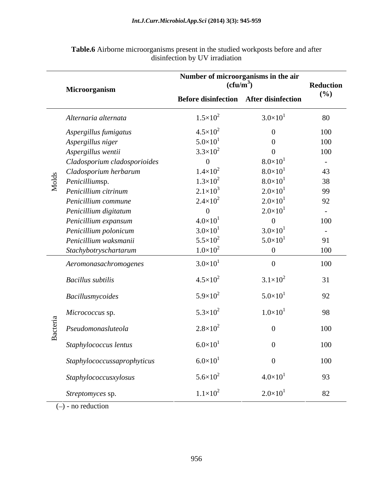|                   | Microorganism                | Number of microorganisms in the air<br>$(cfu/m^3)$ |                     | Reduction      |
|-------------------|------------------------------|----------------------------------------------------|---------------------|----------------|
|                   |                              | Before disinfection After disinfection             |                     | (%)            |
|                   | Alternaria alternata         | $1.5 \times 10^{2}$                                | $3.0\times10^{1}$   | 80             |
|                   | Aspergillus fumigatus        | $4.5 \times 10^{2}$                                | $\overline{0}$      | 100            |
|                   | Aspergillus niger            | $5.0 \times 10^{1}$                                | $\Omega$            | 100            |
|                   | Aspergillus wentii           | $3.3\times10^{2}$                                  | $\Omega$            | 100            |
|                   | Cladosporium cladosporioides | $\overline{0}$                                     | $8.0 \times 10^{1}$ | $\sim$ $-$     |
|                   | Cladosporium herbarum        | $1.4 \times 10^{2}$                                | $8.0 \times 10^{1}$ | 43             |
| olds              | Penicilliumsp.               | $1.3\times10^{2}$                                  | $8.0 \times 10^{1}$ | 38             |
| $\mathbf{\Sigma}$ | Penicillium citrinum         | $2.1 \times 10^3$                                  | $2.0 \times 10^{1}$ | 99             |
|                   | Penicillium commune          | $2.4 \times 10^{2}$                                | $2.0 \times 10^{1}$ | 92             |
|                   | Penicillium digitatum        | $\Omega$                                           | $2.0 \times 10^{1}$ | $\sim$ $ \sim$ |
|                   | Penicillium expansum         | $4.0 \times 10^{1}$                                | $\overline{0}$      | 100            |
|                   | Penicillium polonicum        | $3.0 \times 10^{1}$                                | $3.0\times10^{1}$   | $\sim$ $ \sim$ |
|                   | Penicillium waksmanii        | $5.5 \times 10^{2}$                                | $5.0 \times 10^{1}$ | 91             |
|                   | Stachybotryschartarum        | $1.0\times10^{2}$                                  | $\overline{0}$      | 100            |
|                   | Aeromonasachromogenes        | $3.0\times10^{1}$                                  | $\overline{0}$      | 100            |
|                   | <b>Bacillus subtilis</b>     | $4.5 \times 10^{2}$                                | $3.1 \times 10^{2}$ | 31             |
|                   | Bacillusmycoides             | $5.9\times10^{2}$                                  | $5.0 \times 10^{1}$ | 92             |
| ದ                 | Micrococcus sp.              | $5.3 \times 10^{2}$                                | $1.0 \times 10^{1}$ | 98             |
|                   | Pseudomonasluteola           | $2.8\times10^{2}$                                  | $\Omega$            | 100            |
|                   | Staphylococcus lentus        | $6.0 \times 10^{1}$                                |                     | 100            |
|                   | Staphylococcussaprophyticus  | $6.0 \times 10^{1}$                                | $\Omega$            | 100            |
|                   | Staphylococcusxylosus        | $5.6 \times 10^{2}$                                | $4.0\times10^{1}$   | 93             |
|                   | Streptomyces sp.             | $1.1 \times 10^{2}$                                | $2.0 \times 10^{1}$ | 82             |

**Table.6** Airborne microorganisms present in the studied workposts before and after disinfection by UV irradiation

 $(-)$  - no reduction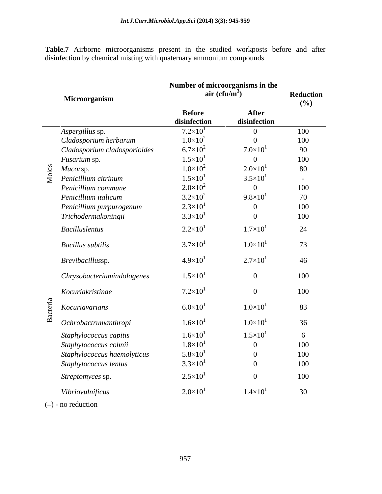**Table.7** Airborne microorganisms present in the studied workposts before and after disinfection by chemical misting with quaternary ammonium compounds

|                | Microorganism                              | air (cfu/m <sup>3</sup> )     | Number of microorganisms in the | Reduction<br>(%) |
|----------------|--------------------------------------------|-------------------------------|---------------------------------|------------------|
|                |                                            | <b>Before</b><br>disinfection | After<br>disinfection           |                  |
|                | Aspergillus sp.                            | $7.2\times10^{1}$             | $\overline{0}$                  | 100              |
|                | Cladosporium herbarum                      | $1.0\times10^{2}$             | $\overline{0}$                  | 100              |
|                | Cladosporium cladosporioides               | $6.7\times10^{2}$             | $7.0\times10^{1}$               | 90               |
|                | Fusarium sp.                               | $1.5 \times 10^{1}$           | $\overline{0}$                  | 100              |
| $\overline{d}$ | Mucorsp.                                   | $1.0\times10^{2}$             | $2.0\times10^{1}$               | 80               |
|                | $\sum_{n=1}^{\infty}$ Penicillium citrinum | $1.5 \times 10^{1}$           | $3.5 \times 10^{1}$             | $\sim$ $\sim$    |
|                | Penicillium commune                        | $2.0 \times 10^{2}$           | $\overline{0}$                  | 100              |
|                | Penicillium italicum                       | $3.2\times10^{2}$             | $9.8\times10^{1}$               | 70               |
|                | Penicillium purpurogenum                   | $2.3 \times 10^{1}$           | $\overline{0}$                  | 100              |
|                | Trichodermakoningii                        | $3.3 \times 10^{1}$           | $\overline{0}$                  | 100              |
|                | <b>Bacilluslentus</b>                      | $2.2 \times 10^{1}$           | $1.7 \times 10^{1}$             | 24               |
|                | <b>Bacillus</b> subtilis                   | $3.7 \times 10^{1}$           | $1.0\times10^{1}$               | 73               |
|                | Brevibacillussp.                           | $4.9\times10^{1}$             | $2.7\times10^{1}$               | 46               |
|                | Chrysobacteriumindologenes                 | $1.5 \times 10^{1}$           | $\overline{0}$                  | 100              |
|                | Kocuriakristinae                           | $7.2\times10^{1}$             | $\overline{0}$                  | 100              |
|                | Kocuriavarians                             | $6.0 \times 10^{1}$           | $1.0\times10^{1}$               | 83               |
| $\mathbf{\Xi}$ | Ochrobactrumanthropi                       | $1.6 \times 10^{1}$           | $1.0\times10^{1}$               | 36               |
|                | Staphylococcus capitis                     | $1.6 \times 10^{1}$           | $1.5 \times 10^{1}$             | 6                |
|                | Staphylococcus cohnii                      | $1.8 \times 10^{1}$           | $\overline{0}$                  | 100              |
|                | Staphylococcus haemolyticus                | $5.8 \times 10^{1}$           | $\overline{0}$                  | 100              |
|                | Staphylococcus lentus                      | $3.3 \times 10^{1}$           | $\theta$                        | 100              |
|                | Streptomyces sp.                           | $2.5 \times 10^{1}$           | $\theta$                        | 100              |
|                | Vibriovulnificus                           | $2.0 \times 10^{1}$           | $1.4 \times 10^{1}$             | 30               |

 $(-)$  - no reduction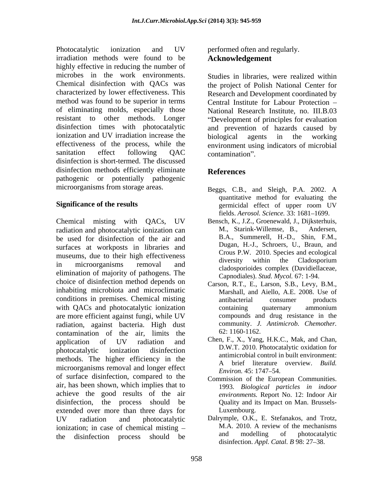Photocatalytic ionization and UV performed often and regularly. irradiation methods were found to be highly effective in reducing the number of microbes in the work environments. Chemical disinfection with QACs was the project of Polish National Center for characterized by lower effectiveness. This method was found to be superior in terms of eliminating molds, especially those resistant to other methods. Longer disinfection times with photocatalytic ionization and UV irradiation increase the biological agents in the working effectiveness of the process, while the sanitation effect following QAC contamination". disinfection is short-termed. The discussed disinfection methods efficiently eliminate References pathogenic or potentially pathogenic microorganisms from storage areas.

Chemical misting with QACs, UV radiation and photocatalytic ionization can M., Starink-Willemse, B., Andersen, be used for disinfection of the air and surfaces at workposts in libraries and museums, due to their high effectiveness<br>conserved the cladosportune diversity within the Cladosportune in microorganisms removal and diversity within the Chalosportunity elimination of majority of pathogens. The choice of disinfection method depends on inhabiting microbiota and microclimatic conditions in premises. Chemical misting with QACs and photocatalytic ionization containing quaternary ammonium are more efficient against fungi, while UV radiation, against bacteria. High dust community. J.<br>contamination of the air limits the 62:1160-1162. contamination of the air, limits the application of UV radiation and Chen, F., X., Yang, H.K.C., Mak, and Chan, photocatalytic ionization disinfection D.W.I. 2010. Flowcatalytic oxidation for methods. The higher efficiency in the microorganisms removal and longer effect<br> $E<sub>nviron.</sub> 45: 1747-54.$ of surface disinfection, compared to the Commission of the European Communities. air, has been shown, which implies that to achieve the good results of the air disinfection, the process should be Quality and its Impact on Man. Brusselsextended over more than three days for Luxembourg. UV radiation and photocatalytic Dalrymple, O.K., E. Stefanakos, and Trotz, ionization; in case of chemical misting  $-$  M.A. 2010. A review of the mechanisms the distribution process should be and modelling of photocatalytic

performed often and regularly. **Acknowledgement** 

Studies in libraries, were realized within Research and Development coordinated by Central Institute for Labour Protection National Research Institute, no. III.B.03 Development of principles for evaluation and prevention of hazards caused by biological agents in the working environment using indicators of microbial contamination".

# **References**

- **Significance of the results** effect of upper room UV Beggs, C.B., and Sleigh, P.A. 2002. A quantitative method for evaluating the germicidal effect of upper room UV fields. *Aerosol. Science*. 33: 1681-1699.
	- Bensch, K., J.Z., Groenewald, J., Dijksterhuis, M., Starink-Willemse, B., B.A., Summerell, H.-D., Shin, F.M., Dugan, H.-J., Schroers, U., Braun, and Crous P.W. 2010. Species and ecological diversity within the Cladosporium cladosporioides complex (Davidiellaceae, Capnodiales). *Stud. Mycol.* 67: 1-94.
	- Carson, R.T., E., Larson, S.B., Levy, B.M., Marshall, and Aiello, A.E. 2008. Use of antibacterial consumer products containing quaternary ammonium compounds and drug resistance in the community. *J. Antimicrob. Chemother.* 62: 1160-1162.
	- Chen, F., X., Yang, H.K.C., Mak, and Chan, D.W.T. 2010. Photocatalytic oxidation for antimicrobial control in built environment: A brief literature overview. *Build.*
	- *Environ.* 45: 1747–54.<br>Commission of the European Communities. 1993. *Biological particles in indoor environments.* Report No. 12: Indoor Air Luxembourg.
- the disinfection process should be  $\frac{d}{dx}$  and modelling or photocatalytic Dalrymple, O.K., E. Stefanakos, and Trotz, M.A. 2010. A review of the mechanisms and modelling of photocatalytic disinfection. *Appl. Catal. B* 98: 27-38.